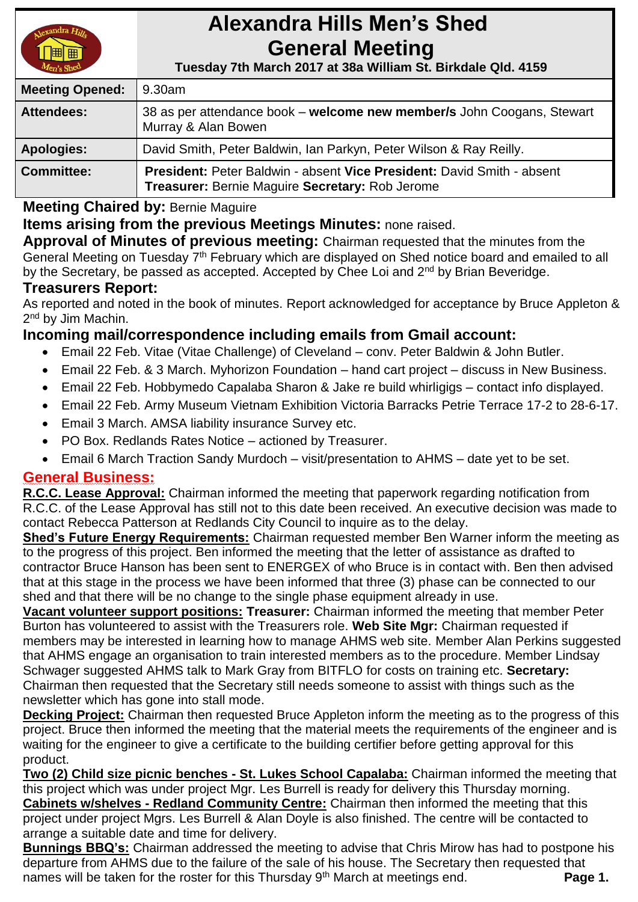

# **Alexandra Hills Men's Shed General Meeting**

 **Tuesday 7th March 2017 at 38a William St. Birkdale Qld. 4159** 

| <b>Meeting Opened:</b> | 9.30am                                                                                                                    |  |
|------------------------|---------------------------------------------------------------------------------------------------------------------------|--|
| <b>Attendees:</b>      | 38 as per attendance book – welcome new member/s John Coogans, Stewart<br>Murray & Alan Bowen                             |  |
| <b>Apologies:</b>      | David Smith, Peter Baldwin, Ian Parkyn, Peter Wilson & Ray Reilly.                                                        |  |
| <b>Committee:</b>      | President: Peter Baldwin - absent Vice President: David Smith - absent<br>Treasurer: Bernie Maguire Secretary: Rob Jerome |  |

**Meeting Chaired by:** Bernie Maguire

# **Items arising from the previous Meetings Minutes:** none raised.

**Approval of Minutes of previous meeting:** Chairman requested that the minutes from the General Meeting on Tuesday 7<sup>th</sup> February which are displayed on Shed notice board and emailed to all by the Secretary, be passed as accepted. Accepted by Chee Loi and 2<sup>nd</sup> by Brian Beveridge.

## **Treasurers Report:**

As reported and noted in the book of minutes. Report acknowledged for acceptance by Bruce Appleton & 2<sup>nd</sup> by Jim Machin.

## **Incoming mail/correspondence including emails from Gmail account:**

- Email 22 Feb. Vitae (Vitae Challenge) of Cleveland conv. Peter Baldwin & John Butler.
- Email 22 Feb. & 3 March. Myhorizon Foundation hand cart project discuss in New Business.
- Email 22 Feb. Hobbymedo Capalaba Sharon & Jake re build whirligigs contact info displayed.
- Email 22 Feb. Army Museum Vietnam Exhibition Victoria Barracks Petrie Terrace 17-2 to 28-6-17.
- Email 3 March. AMSA liability insurance Survey etc.
- PO Box. Redlands Rates Notice actioned by Treasurer.
- Email 6 March Traction Sandy Murdoch visit/presentation to AHMS date yet to be set.

## **General Business:**

**R.C.C. Lease Approval:** Chairman informed the meeting that paperwork regarding notification from R.C.C. of the Lease Approval has still not to this date been received. An executive decision was made to contact Rebecca Patterson at Redlands City Council to inquire as to the delay.

**Shed's Future Energy Requirements:** Chairman requested member Ben Warner inform the meeting as to the progress of this project. Ben informed the meeting that the letter of assistance as drafted to contractor Bruce Hanson has been sent to ENERGEX of who Bruce is in contact with. Ben then advised that at this stage in the process we have been informed that three (3) phase can be connected to our shed and that there will be no change to the single phase equipment already in use.

**Vacant volunteer support positions: Treasurer:** Chairman informed the meeting that member Peter Burton has volunteered to assist with the Treasurers role. **Web Site Mgr:** Chairman requested if members may be interested in learning how to manage AHMS web site. Member Alan Perkins suggested that AHMS engage an organisation to train interested members as to the procedure. Member Lindsay Schwager suggested AHMS talk to Mark Gray from BITFLO for costs on training etc. **Secretary:** Chairman then requested that the Secretary still needs someone to assist with things such as the newsletter which has gone into stall mode.

**Decking Project:** Chairman then requested Bruce Appleton inform the meeting as to the progress of this project. Bruce then informed the meeting that the material meets the requirements of the engineer and is waiting for the engineer to give a certificate to the building certifier before getting approval for this product.

**Two (2) Child size picnic benches - St. Lukes School Capalaba:** Chairman informed the meeting that this project which was under project Mgr. Les Burrell is ready for delivery this Thursday morning. **Cabinets w/shelves - Redland Community Centre:** Chairman then informed the meeting that this project under project Mgrs. Les Burrell & Alan Doyle is also finished. The centre will be contacted to arrange a suitable date and time for delivery.

**Bunnings BBQ's:** Chairman addressed the meeting to advise that Chris Mirow has had to postpone his departure from AHMS due to the failure of the sale of his house. The Secretary then requested that names will be taken for the roster for this Thursday 9<sup>th</sup> March at meetings end. **Page 1.**